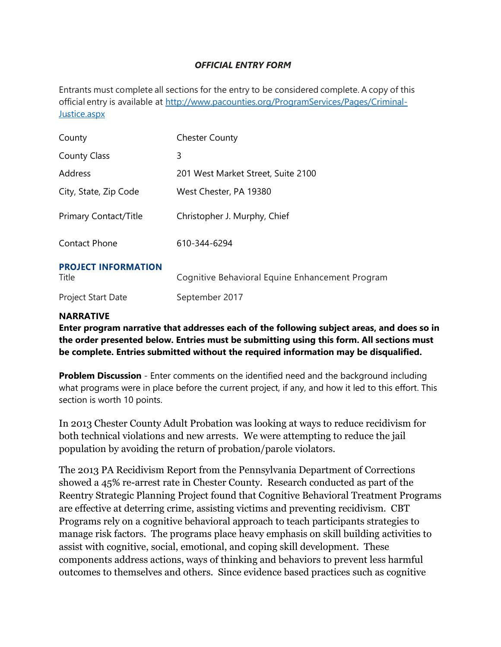### *OFFICIAL ENTRY FORM*

Entrants must complete all sections for the entry to be considered complete. A copy of this official entry is available at [http://www.pacounties.org/ProgramServices/Pages/Criminal-](http://www.pacounties.org/ProgramServices/Pages/Criminal-Justice.aspx)[Justice.aspx](http://www.pacounties.org/ProgramServices/Pages/Criminal-Justice.aspx)

| County                              | <b>Chester County</b>                           |
|-------------------------------------|-------------------------------------------------|
| <b>County Class</b>                 | 3                                               |
| Address                             | 201 West Market Street, Suite 2100              |
| City, State, Zip Code               | West Chester, PA 19380                          |
| <b>Primary Contact/Title</b>        | Christopher J. Murphy, Chief                    |
| <b>Contact Phone</b>                | 610-344-6294                                    |
| <b>PROJECT INFORMATION</b><br>Title | Cognitive Behavioral Equine Enhancement Program |
| <b>Project Start Date</b>           | September 2017                                  |

### **NARRATIVE**

**Enter program narrative that addresses each of the following subject areas, and does so in the order presented below. Entries must be submitting using this form. All sections must be complete. Entries submitted without the required information may be disqualified.**

**Problem Discussion** - Enter comments on the identified need and the background including what programs were in place before the current project, if any, and how it led to this effort. This section is worth 10 points.

In 2013 Chester County Adult Probation was looking at ways to reduce recidivism for both technical violations and new arrests. We were attempting to reduce the jail population by avoiding the return of probation/parole violators.

The 2013 PA Recidivism Report from the Pennsylvania Department of Corrections showed a 45% re-arrest rate in Chester County. Research conducted as part of the Reentry Strategic Planning Project found that Cognitive Behavioral Treatment Programs are effective at deterring crime, assisting victims and preventing recidivism. CBT Programs rely on a cognitive behavioral approach to teach participants strategies to manage risk factors. The programs place heavy emphasis on skill building activities to assist with cognitive, social, emotional, and coping skill development. These components address actions, ways of thinking and behaviors to prevent less harmful outcomes to themselves and others. Since evidence based practices such as cognitive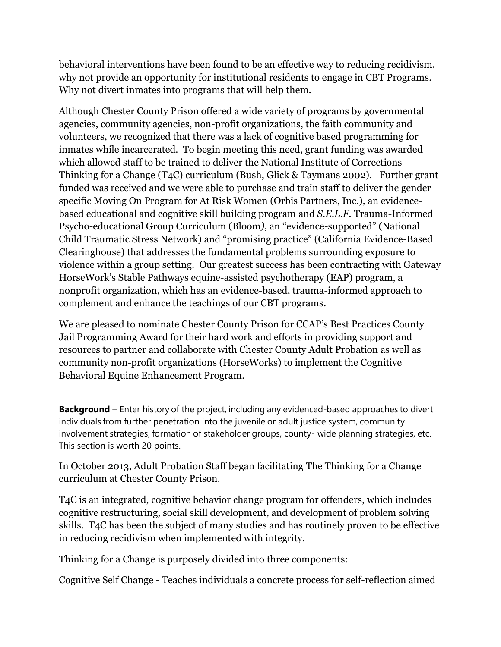behavioral interventions have been found to be an effective way to reducing recidivism, why not provide an opportunity for institutional residents to engage in CBT Programs. Why not divert inmates into programs that will help them.

Although Chester County Prison offered a wide variety of programs by governmental agencies, community agencies, non-profit organizations, the faith community and volunteers, we recognized that there was a lack of cognitive based programming for inmates while incarcerated. To begin meeting this need, grant funding was awarded which allowed staff to be trained to deliver the National Institute of Corrections Thinking for a Change (T4C) curriculum (Bush, Glick & Taymans 2002). Further grant funded was received and we were able to purchase and train staff to deliver the gender specific Moving On Program for At Risk Women (Orbis Partners, Inc.)*,* an evidencebased educational and cognitive skill building program and *S.E.L.F.* Trauma-Informed Psycho-educational Group Curriculum (Bloom*)*, an "evidence-supported" (National Child Traumatic Stress Network) and "promising practice" (California Evidence-Based Clearinghouse) that addresses the fundamental problems surrounding exposure to violence within a group setting. Our greatest success has been contracting with Gateway HorseWork's Stable Pathways equine-assisted psychotherapy (EAP) program, a nonprofit organization, which has an evidence-based, trauma-informed approach to complement and enhance the teachings of our CBT programs.

We are pleased to nominate Chester County Prison for CCAP's Best Practices County Jail Programming Award for their hard work and efforts in providing support and resources to partner and collaborate with Chester County Adult Probation as well as community non-profit organizations (HorseWorks) to implement the Cognitive Behavioral Equine Enhancement Program.

**Background** – Enter history of the project, including any evidenced-based approaches to divert individuals from further penetration into the juvenile or adult justice system, community involvement strategies, formation of stakeholder groups, county- wide planning strategies, etc. This section is worth 20 points.

In October 2013, Adult Probation Staff began facilitating The Thinking for a Change curriculum at Chester County Prison.

T4C is an integrated, cognitive behavior change program for offenders, which includes cognitive restructuring, social skill development, and development of problem solving skills. T4C has been the subject of many studies and has routinely proven to be effective in reducing recidivism when implemented with integrity.

Thinking for a Change is purposely divided into three components:

Cognitive Self Change - Teaches individuals a concrete process for self-reflection aimed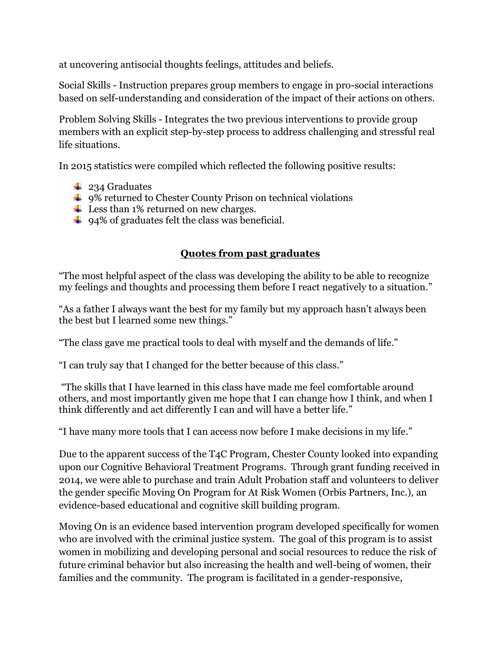at uncovering antisocial thoughts feelings, attitudes and beliefs.

Social Skills - Instruction prepares group members to engage in pro-social interactions based on self-understanding and consideration of the impact of their actions on others.

Problem Solving Skills - Integrates the two previous interventions to provide group members with an explicit step-by-step process to address challenging and stressful real life situations.

In 2015 statistics were compiled which reflected the following positive results:

- $\frac{1}{2}$  234 Graduates
- $\ddot{\phantom{1}}$  9% returned to Chester County Prison on technical violations
- $\overline{\phantom{a}}$  Less than 1% returned on new charges.
- $\div$  94% of graduates felt the class was beneficial.

# **Quotes from past graduates**

"The most helpful aspect of the class was developing the ability to be able to recognize my feelings and thoughts and processing them before I react negatively to a situation."

"As a father I always want the best for my family but my approach hasn't always been the best but I learned some new things."

"The class gave me practical tools to deal with myself and the demands of life."

"I can truly say that I changed for the better because of this class."

"The skills that I have learned in this class have made me feel comfortable around others, and most importantly given me hope that I can change how I think, and when I think differently and act differently I can and will have a better life."

"I have many more tools that I can access now before I make decisions in my life."

Due to the apparent success of the T4C Program, Chester County looked into expanding upon our Cognitive Behavioral Treatment Programs. Through grant funding received in 2014, we were able to purchase and train Adult Probation staff and volunteers to deliver the gender specific Moving On Program for At Risk Women (Orbis Partners, Inc.)*,* an evidence-based educational and cognitive skill building program.

Moving On is an evidence based intervention program developed specifically for women who are involved with the criminal justice system. The goal of this program is to assist women in mobilizing and developing personal and social resources to reduce the risk of future criminal behavior but also increasing the health and well-being of women, their families and the community. The program is facilitated in a gender-responsive,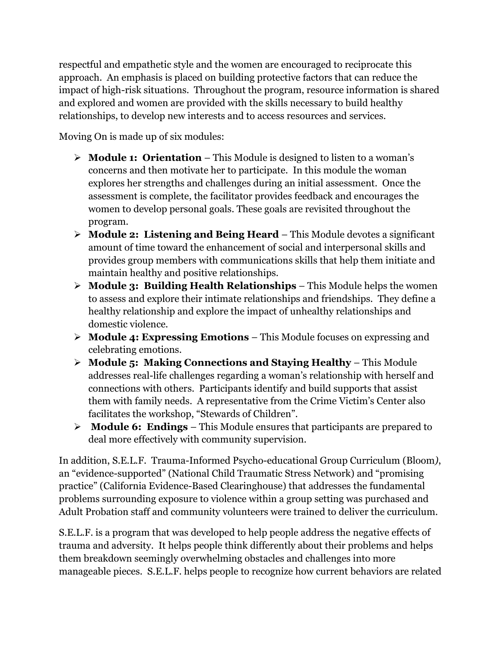respectful and empathetic style and the women are encouraged to reciprocate this approach. An emphasis is placed on building protective factors that can reduce the impact of high-risk situations. Throughout the program, resource information is shared and explored and women are provided with the skills necessary to build healthy relationships, to develop new interests and to access resources and services.

Moving On is made up of six modules:

- **Module 1: Orientation** This Module is designed to listen to a woman's concerns and then motivate her to participate. In this module the woman explores her strengths and challenges during an initial assessment. Once the assessment is complete, the facilitator provides feedback and encourages the women to develop personal goals. These goals are revisited throughout the program.
- **Module 2: Listening and Being Heard** This Module devotes a significant amount of time toward the enhancement of social and interpersonal skills and provides group members with communications skills that help them initiate and maintain healthy and positive relationships.
- **Module 3: Building Health Relationships** This Module helps the women to assess and explore their intimate relationships and friendships. They define a healthy relationship and explore the impact of unhealthy relationships and domestic violence.
- **Module 4: Expressing Emotions** This Module focuses on expressing and celebrating emotions.
- **Module 5: Making Connections and Staying Healthy** This Module addresses real-life challenges regarding a woman's relationship with herself and connections with others. Participants identify and build supports that assist them with family needs. A representative from the Crime Victim's Center also facilitates the workshop, "Stewards of Children".
- **Module 6: Endings** This Module ensures that participants are prepared to deal more effectively with community supervision.

In addition, S.E.L.F. Trauma-Informed Psycho-educational Group Curriculum (Bloom*)*, an "evidence-supported" (National Child Traumatic Stress Network) and "promising practice" (California Evidence-Based Clearinghouse) that addresses the fundamental problems surrounding exposure to violence within a group setting was purchased and Adult Probation staff and community volunteers were trained to deliver the curriculum.

S.E.L.F. is a program that was developed to help people address the negative effects of trauma and adversity. It helps people think differently about their problems and helps them breakdown seemingly overwhelming obstacles and challenges into more manageable pieces. S.E.L.F. helps people to recognize how current behaviors are related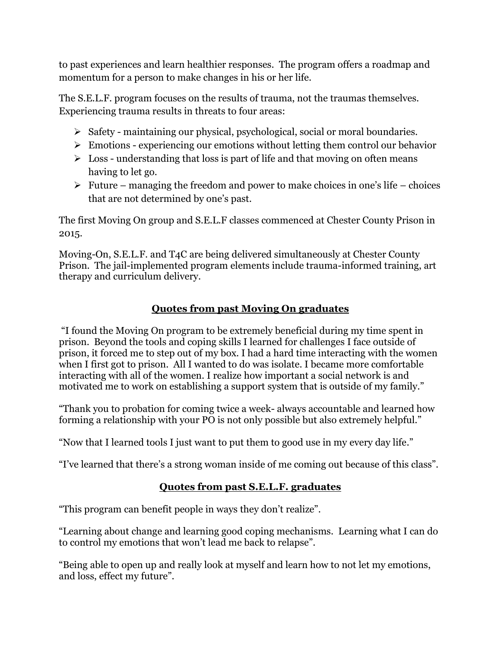to past experiences and learn healthier responses. The program offers a roadmap and momentum for a person to make changes in his or her life.

The S.E.L.F. program focuses on the results of trauma, not the traumas themselves. Experiencing trauma results in threats to four areas:

- $\triangleright$  Safety maintaining our physical, psychological, social or moral boundaries.
- $\triangleright$  Emotions experiencing our emotions without letting them control our behavior
- $\triangleright$  Loss understanding that loss is part of life and that moving on often means having to let go.
- $\triangleright$  Future managing the freedom and power to make choices in one's life choices that are not determined by one's past.

The first Moving On group and S.E.L.F classes commenced at Chester County Prison in 2015.

Moving-On, S.E.L.F. and T4C are being delivered simultaneously at Chester County Prison. The jail-implemented program elements include trauma-informed training, art therapy and curriculum delivery.

# **Quotes from past Moving On graduates**

"I found the Moving On program to be extremely beneficial during my time spent in prison. Beyond the tools and coping skills I learned for challenges I face outside of prison, it forced me to step out of my box. I had a hard time interacting with the women when I first got to prison. All I wanted to do was isolate. I became more comfortable interacting with all of the women. I realize how important a social network is and motivated me to work on establishing a support system that is outside of my family."

"Thank you to probation for coming twice a week- always accountable and learned how forming a relationship with your PO is not only possible but also extremely helpful."

"Now that I learned tools I just want to put them to good use in my every day life."

"I've learned that there's a strong woman inside of me coming out because of this class".

# **Quotes from past S.E.L.F. graduates**

"This program can benefit people in ways they don't realize".

"Learning about change and learning good coping mechanisms. Learning what I can do to control my emotions that won't lead me back to relapse".

"Being able to open up and really look at myself and learn how to not let my emotions, and loss, effect my future".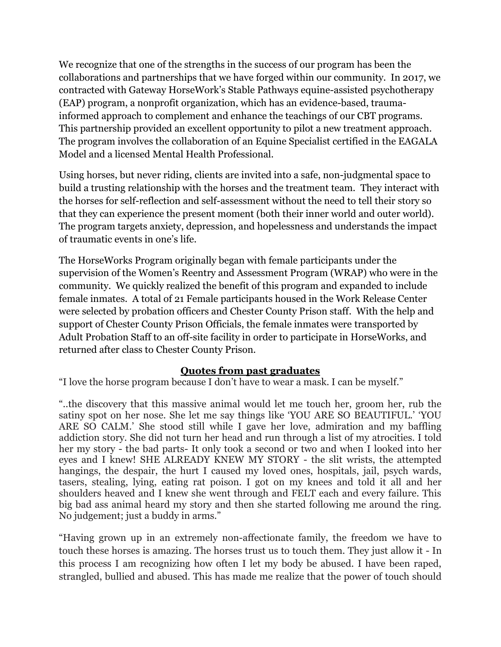We recognize that one of the strengths in the success of our program has been the collaborations and partnerships that we have forged within our community. In 2017, we contracted with Gateway HorseWork's Stable Pathways equine-assisted psychotherapy (EAP) program, a nonprofit organization, which has an evidence-based, traumainformed approach to complement and enhance the teachings of our CBT programs. This partnership provided an excellent opportunity to pilot a new treatment approach. The program involves the collaboration of an Equine Specialist certified in the EAGALA Model and a licensed Mental Health Professional.

Using horses, but never riding, clients are invited into a safe, non-judgmental space to build a trusting relationship with the horses and the treatment team. They interact with the horses for self-reflection and self-assessment without the need to tell their story so that they can experience the present moment (both their inner world and outer world). The program targets anxiety, depression, and hopelessness and understands the impact of traumatic events in one's life.

The HorseWorks Program originally began with female participants under the supervision of the Women's Reentry and Assessment Program (WRAP) who were in the community. We quickly realized the benefit of this program and expanded to include female inmates. A total of 21 Female participants housed in the Work Release Center were selected by probation officers and Chester County Prison staff. With the help and support of Chester County Prison Officials, the female inmates were transported by Adult Probation Staff to an off-site facility in order to participate in HorseWorks, and returned after class to Chester County Prison.

### **Quotes from past graduates**

"I love the horse program because I don't have to wear a mask. I can be myself."

"..the discovery that this massive animal would let me touch her, groom her, rub the satiny spot on her nose. She let me say things like 'YOU ARE SO BEAUTIFUL.' 'YOU ARE SO CALM.' She stood still while I gave her love, admiration and my baffling addiction story. She did not turn her head and run through a list of my atrocities. I told her my story - the bad parts- It only took a second or two and when I looked into her eyes and I knew! SHE ALREADY KNEW MY STORY - the slit wrists, the attempted hangings, the despair, the hurt I caused my loved ones, hospitals, jail, psych wards, tasers, stealing, lying, eating rat poison. I got on my knees and told it all and her shoulders heaved and I knew she went through and FELT each and every failure. This big bad ass animal heard my story and then she started following me around the ring. No judgement; just a buddy in arms."

"Having grown up in an extremely non-affectionate family, the freedom we have to touch these horses is amazing. The horses trust us to touch them. They just allow it - In this process I am recognizing how often I let my body be abused. I have been raped, strangled, bullied and abused. This has made me realize that the power of touch should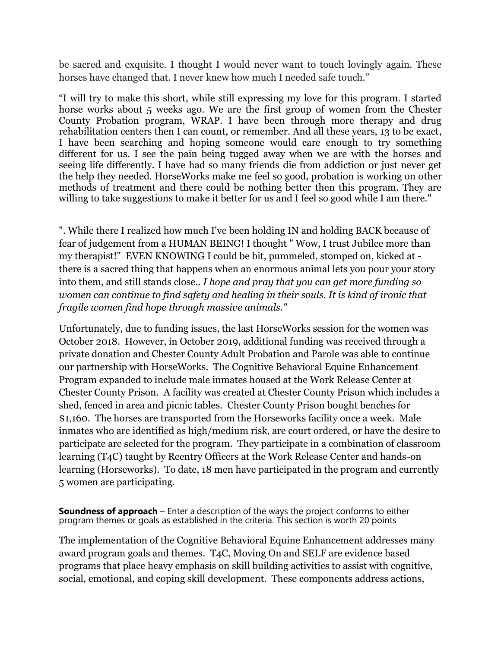be sacred and exquisite. I thought I would never want to touch lovingly again. These horses have changed that. I never knew how much I needed safe touch."

"I will try to make this short, while still expressing my love for this program. I started horse works about 5 weeks ago. We are the first group of women from the Chester County Probation program, WRAP. I have been through more therapy and drug rehabilitation centers then I can count, or remember. And all these years, 13 to be exact, I have been searching and hoping someone would care enough to try something different for us. I see the pain being tugged away when we are with the horses and seeing life differently. I have had so many friends die from addiction or just never get the help they needed. HorseWorks make me feel so good, probation is working on other methods of treatment and there could be nothing better then this program. They are willing to take suggestions to make it better for us and I feel so good while I am there."

". While there I realized how much I've been holding IN and holding BACK because of fear of judgement from a HUMAN BEING! I thought " Wow, I trust Jubilee more than my therapist!" EVEN KNOWING I could be bit, pummeled, stomped on, kicked at there is a sacred thing that happens when an enormous animal lets you pour your story into them, and still stands close.. *I hope and pray that you can get more funding so women can continue to find safety and healing in their souls. It is kind of ironic that fragile women find hope through massive animals."*

Unfortunately, due to funding issues, the last HorseWorks session for the women was October 2018. However, in October 2019, additional funding was received through a private donation and Chester County Adult Probation and Parole was able to continue our partnership with HorseWorks. The Cognitive Behavioral Equine Enhancement Program expanded to include male inmates housed at the Work Release Center at Chester County Prison. A facility was created at Chester County Prison which includes a shed, fenced in area and picnic tables. Chester County Prison bought benches for \$1,160. The horses are transported from the Horseworks facility once a week. Male inmates who are identified as high/medium risk, are court ordered, or have the desire to participate are selected for the program. They participate in a combination of classroom learning (T4C) taught by Reentry Officers at the Work Release Center and hands-on learning (Horseworks). To date, 18 men have participated in the program and currently 5 women are participating.

**Soundness of approach** – Enter a description of the ways the project conforms to either program themes or goals as established in the criteria. This section is worth 20 points

The implementation of the Cognitive Behavioral Equine Enhancement addresses many award program goals and themes. T4C, Moving On and SELF are evidence based programs that place heavy emphasis on skill building activities to assist with cognitive, social, emotional, and coping skill development. These components address actions,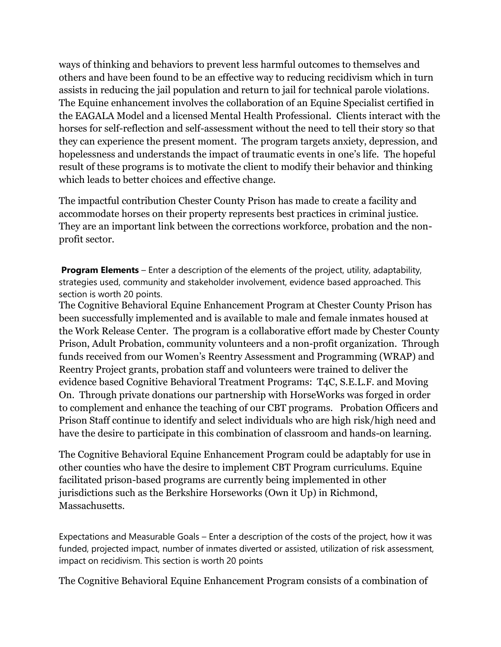ways of thinking and behaviors to prevent less harmful outcomes to themselves and others and have been found to be an effective way to reducing recidivism which in turn assists in reducing the jail population and return to jail for technical parole violations. The Equine enhancement involves the collaboration of an Equine Specialist certified in the EAGALA Model and a licensed Mental Health Professional. Clients interact with the horses for self-reflection and self-assessment without the need to tell their story so that they can experience the present moment. The program targets anxiety, depression, and hopelessness and understands the impact of traumatic events in one's life. The hopeful result of these programs is to motivate the client to modify their behavior and thinking which leads to better choices and effective change.

The impactful contribution Chester County Prison has made to create a facility and accommodate horses on their property represents best practices in criminal justice. They are an important link between the corrections workforce, probation and the nonprofit sector.

**Program Elements** – Enter a description of the elements of the project, utility, adaptability, strategies used, community and stakeholder involvement, evidence based approached. This section is worth 20 points.

The Cognitive Behavioral Equine Enhancement Program at Chester County Prison has been successfully implemented and is available to male and female inmates housed at the Work Release Center. The program is a collaborative effort made by Chester County Prison, Adult Probation, community volunteers and a non-profit organization. Through funds received from our Women's Reentry Assessment and Programming (WRAP) and Reentry Project grants, probation staff and volunteers were trained to deliver the evidence based Cognitive Behavioral Treatment Programs: T4C, S.E.L.F. and Moving On. Through private donations our partnership with HorseWorks was forged in order to complement and enhance the teaching of our CBT programs. Probation Officers and Prison Staff continue to identify and select individuals who are high risk/high need and have the desire to participate in this combination of classroom and hands-on learning.

The Cognitive Behavioral Equine Enhancement Program could be adaptably for use in other counties who have the desire to implement CBT Program curriculums. Equine facilitated prison-based programs are currently being implemented in other jurisdictions such as the Berkshire Horseworks (Own it Up) in Richmond, Massachusetts.

Expectations and Measurable Goals – Enter a description of the costs of the project, how it was funded, projected impact, number of inmates diverted or assisted, utilization of risk assessment, impact on recidivism. This section is worth 20 points

The Cognitive Behavioral Equine Enhancement Program consists of a combination of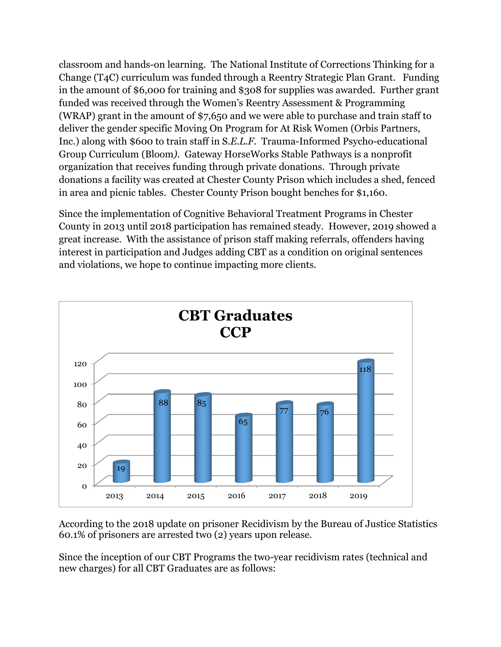classroom and hands-on learning. The National Institute of Corrections Thinking for a Change (T4C) curriculum was funded through a Reentry Strategic Plan Grant. Funding in the amount of \$6,000 for training and \$308 for supplies was awarded. Further grant funded was received through the Women's Reentry Assessment & Programming (WRAP) grant in the amount of \$7,650 and we were able to purchase and train staff to deliver the gender specific Moving On Program for At Risk Women (Orbis Partners, Inc.) along with \$600 to train staff in S*.E.L.F.* Trauma-Informed Psycho-educational Group Curriculum (Bloom*).* Gateway HorseWorks Stable Pathways is a nonprofit organization that receives funding through private donations. Through private donations a facility was created at Chester County Prison which includes a shed, fenced in area and picnic tables. Chester County Prison bought benches for \$1,160.

Since the implementation of Cognitive Behavioral Treatment Programs in Chester County in 2013 until 2018 participation has remained steady. However, 2019 showed a great increase. With the assistance of prison staff making referrals, offenders having interest in participation and Judges adding CBT as a condition on original sentences and violations, we hope to continue impacting more clients.



According to the 2018 update on prisoner Recidivism by the Bureau of Justice Statistics 60.1% of prisoners are arrested two (2) years upon release.

Since the inception of our CBT Programs the two-year recidivism rates (technical and new charges) for all CBT Graduates are as follows: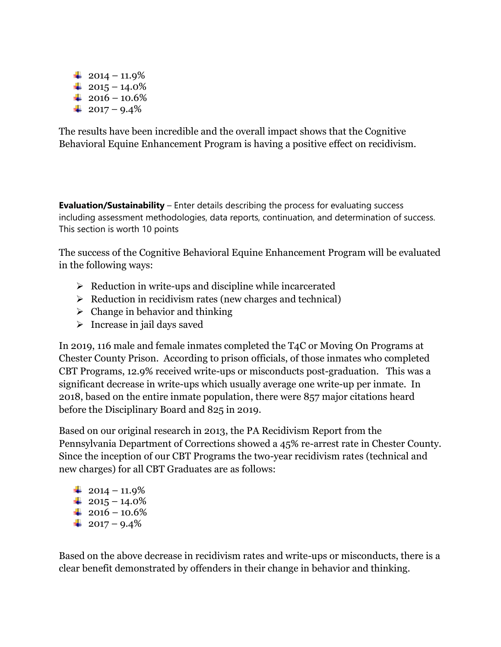$\frac{1}{2014} - 11.9\%$  $+ 2015 - 14.0\%$  $+ 2016 - 10.6\%$  $+ 2017 - 9.4\%$ 

The results have been incredible and the overall impact shows that the Cognitive Behavioral Equine Enhancement Program is having a positive effect on recidivism.

**Evaluation/Sustainability** – Enter details describing the process for evaluating success including assessment methodologies, data reports, continuation, and determination of success. This section is worth 10 points

The success of the Cognitive Behavioral Equine Enhancement Program will be evaluated in the following ways:

- $\triangleright$  Reduction in write-ups and discipline while incarcerated
- $\triangleright$  Reduction in recidivism rates (new charges and technical)
- $\triangleright$  Change in behavior and thinking
- $\triangleright$  Increase in jail days saved

In 2019, 116 male and female inmates completed the T4C or Moving On Programs at Chester County Prison. According to prison officials, of those inmates who completed CBT Programs, 12.9% received write-ups or misconducts post-graduation. This was a significant decrease in write-ups which usually average one write-up per inmate. In 2018, based on the entire inmate population, there were 857 major citations heard before the Disciplinary Board and 825 in 2019.

Based on our original research in 2013, the PA Recidivism Report from the Pennsylvania Department of Corrections showed a 45% re-arrest rate in Chester County. Since the inception of our CBT Programs the two-year recidivism rates (technical and new charges) for all CBT Graduates are as follows:

 $\frac{1}{2014} - 11.9\%$  $+ 2015 - 14.0\%$  $+ 2016 - 10.6\%$  $+ 2017 - 9.4\%$ 

Based on the above decrease in recidivism rates and write-ups or misconducts, there is a clear benefit demonstrated by offenders in their change in behavior and thinking.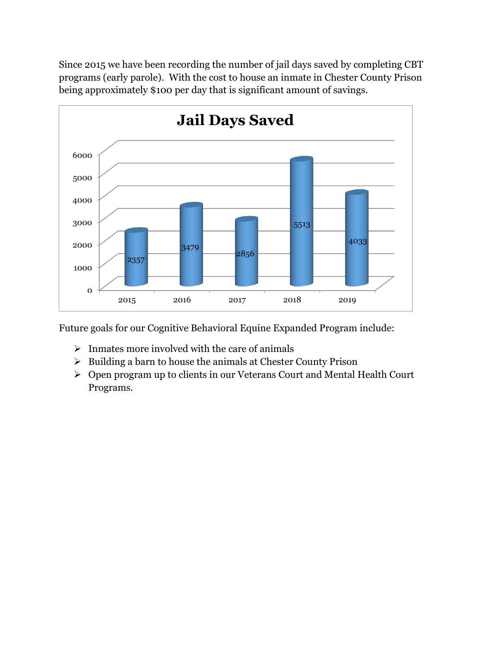Since 2015 we have been recording the number of jail days saved by completing CBT programs (early parole). With the cost to house an inmate in Chester County Prison being approximately \$100 per day that is significant amount of savings.



Future goals for our Cognitive Behavioral Equine Expanded Program include:

- $\triangleright$  Inmates more involved with the care of animals
- $\triangleright$  Building a barn to house the animals at Chester County Prison
- Open program up to clients in our Veterans Court and Mental Health Court Programs.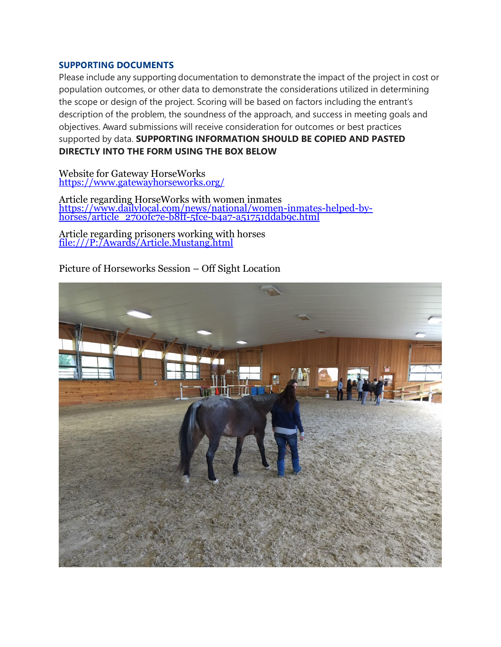#### **SUPPORTING DOCUMENTS**

Please include any supporting documentation to demonstrate the impact of the project in cost or population outcomes, or other data to demonstrate the considerations utilized in determining the scope or design of the project. Scoring will be based on factors including the entrant's description of the problem, the soundness of the approach, and success in meeting goals and objectives. Award submissions will receive consideration for outcomes or best practices supported by data. **SUPPORTING INFORMATION SHOULD BE COPIED AND PASTED DIRECTLY INTO THE FORM USING THE BOX BELOW**

Website for Gateway HorseWorks <https://www.gatewayhorseworks.org/>

Article regarding HorseWorks with women inmates [https://www.dailylocal.com/news/national/women-inmates-helped-by](https://www.dailylocal.com/news/national/women-inmates-helped-by-horses/article_2700fc7e-b8ff-5fce-b4a7-a51751ddab9c.html)[horses/article\\_2700fc7e-b8ff-5fce-b4a7-a51751ddab9c.html](https://www.dailylocal.com/news/national/women-inmates-helped-by-horses/article_2700fc7e-b8ff-5fce-b4a7-a51751ddab9c.html)

Article regarding prisoners working with horses [file:///P:/Awards/Article.Mustang.html](file://///personal/commiss$/tpettit/Awards/Article.Mustang.html)

Picture of Horseworks Session – Off Sight Location